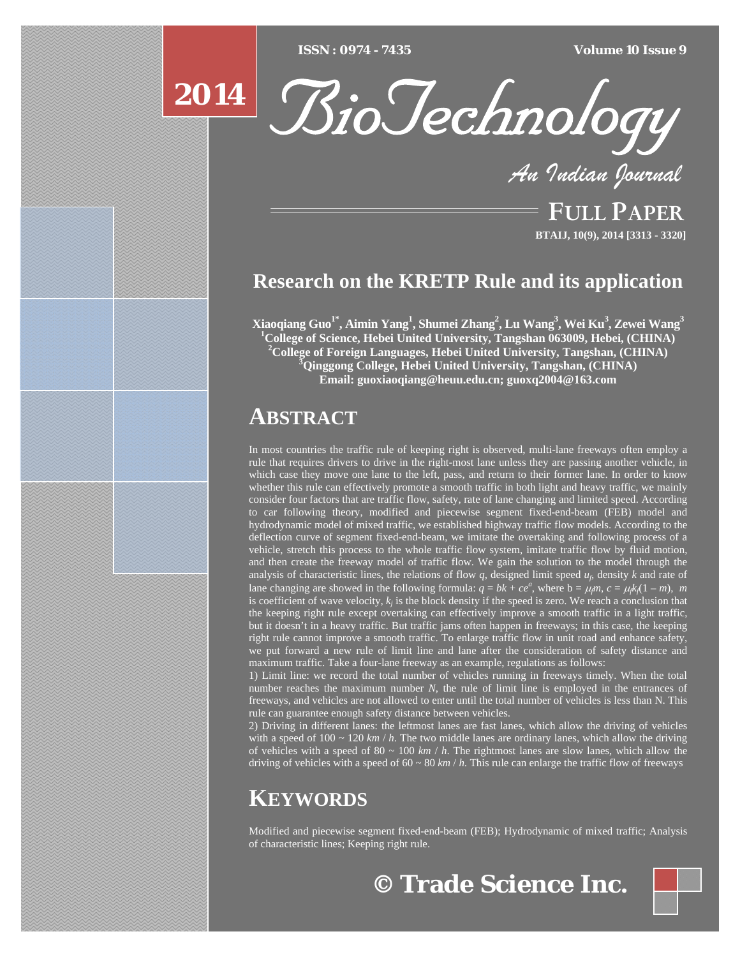[Type text] [Type text] [Type text] *ISSN : 0974 - 7435 Volume 10 Issue 9*

# **2014**

BioTechnology

*An Indian Journal*

FULL PAPER **BTAIJ, 10(9), 2014 [3313 - 3320]**

# **Research on the KRETP Rule and its application**

**Xiaoqiang Guo1\*, Aimin Yang1 , Shumei Zhang2 , Lu Wang3 , Wei Ku3 , Zewei Wang3** <sup>1</sup>College of Science, Hebei United University, Tangshan 063009, Hebei, (CHINA) **College of Foreign Languages, Hebei United University, Tangshan, (CHINA) 3 Qinggong College, Hebei United University, Tangshan, (CHINA) Email: guoxiaoqiang@heuu.edu.cn; guoxq2004@163.com**

# **ABSTRACT**

In most countries the traffic rule of keeping right is observed, multi-lane freeways often employ a rule that requires drivers to drive in the right-most lane unless they are passing another vehicle, in which case they move one lane to the left, pass, and return to their former lane. In order to know whether this rule can effectively promote a smooth traffic in both light and heavy traffic, we mainly consider four factors that are traffic flow, safety, rate of lane changing and limited speed. According to car following theory, modified and piecewise segment fixed-end-beam (FEB) model and hydrodynamic model of mixed traffic, we established highway traffic flow models. According to the deflection curve of segment fixed-end-beam, we imitate the overtaking and following process of a vehicle, stretch this process to the whole traffic flow system, imitate traffic flow by fluid motion, and then create the freeway model of traffic flow. We gain the solution to the model through the analysis of characteristic lines, the relations of flow  $q$ , designed limit speed  $u_f$ , density  $k$  and rate of lane changing are showed in the following formula:  $q = bk + ce^a$ , where  $b = \mu_q m$ ,  $c = \mu_q k_q (1 - m)$ , m is coefficient of wave velocity,  $k_j$  is the block density if the speed is zero. We reach a conclusion that the keeping right rule except overtaking can effectively improve a smooth traffic in a light traffic, but it doesn't in a heavy traffic. But traffic jams often happen in freeways; in this case, the keeping right rule cannot improve a smooth traffic. To enlarge traffic flow in unit road and enhance safety, we put forward a new rule of limit line and lane after the consideration of safety distance and maximum traffic. Take a four-lane freeway as an example, regulations as follows:

1) Limit line: we record the total number of vehicles running in freeways timely. When the total number reaches the maximum number *N*, the rule of limit line is employed in the entrances of freeways, and vehicles are not allowed to enter until the total number of vehicles is less than N. This rule can guarantee enough safety distance between vehicles.

2) Driving in different lanes: the leftmost lanes are fast lanes, which allow the driving of vehicles with a speed of 100 ~ 120 *km* / *h*. The two middle lanes are ordinary lanes, which allow the driving of vehicles with a speed of 80 ~ 100 *km* / *h*. The rightmost lanes are slow lanes, which allow the driving of vehicles with a speed of 60 ~ 80 *km* / *h*. This rule can enlarge the traffic flow of freeways

# **KEYWORDS**

Modified and piecewise segment fixed-end-beam (FEB); Hydrodynamic of mixed traffic; Analysis of characteristic lines; Keeping right rule.

**© Trade Science Inc.**

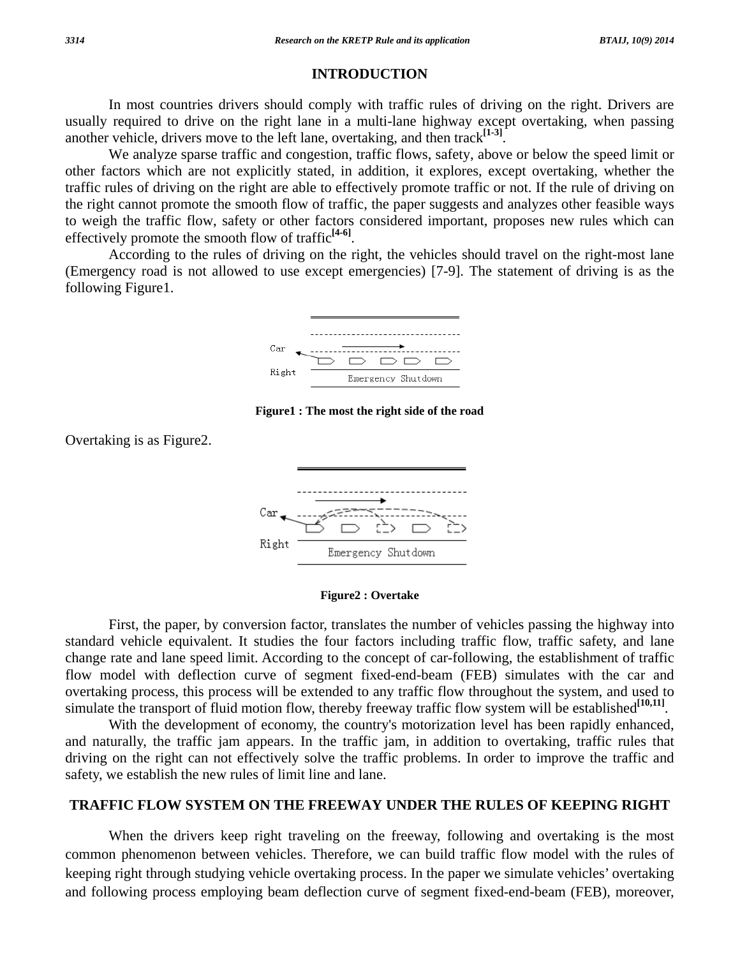### **INTRODUCTION**

 In most countries drivers should comply with traffic rules of driving on the right. Drivers are usually required to drive on the right lane in a multi-lane highway except overtaking, when passing another vehicle, drivers move to the left lane, overtaking, and then track**[1-3]**.

 We analyze sparse traffic and congestion, traffic flows, safety, above or below the speed limit or other factors which are not explicitly stated, in addition, it explores, except overtaking, whether the traffic rules of driving on the right are able to effectively promote traffic or not. If the rule of driving on the right cannot promote the smooth flow of traffic, the paper suggests and analyzes other feasible ways to weigh the traffic flow, safety or other factors considered important, proposes new rules which can effectively promote the smooth flow of traffic**[4-6]**.

 According to the rules of driving on the right, the vehicles should travel on the right-most lane (Emergency road is not allowed to use except emergencies) [7-9]. The statement of driving is as the following Figure1.



**Figure1 : The most the right side of the road** 





First, the paper, by conversion factor, translates the number of vehicles passing the highway into standard vehicle equivalent. It studies the four factors including traffic flow, traffic safety, and lane change rate and lane speed limit. According to the concept of car-following, the establishment of traffic flow model with deflection curve of segment fixed-end-beam (FEB) simulates with the car and overtaking process, this process will be extended to any traffic flow throughout the system, and used to simulate the transport of fluid motion flow, thereby freeway traffic flow system will be established<sup>[10,11]</sup>.

 With the development of economy, the country's motorization level has been rapidly enhanced, and naturally, the traffic jam appears. In the traffic jam, in addition to overtaking, traffic rules that driving on the right can not effectively solve the traffic problems. In order to improve the traffic and safety, we establish the new rules of limit line and lane.

# **TRAFFIC FLOW SYSTEM ON THE FREEWAY UNDER THE RULES OF KEEPING RIGHT**

 When the drivers keep right traveling on the freeway, following and overtaking is the most common phenomenon between vehicles. Therefore, we can build traffic flow model with the rules of keeping right through studying vehicle overtaking process. In the paper we simulate vehicles' overtaking and following process employing beam deflection curve of segment fixed-end-beam (FEB), moreover,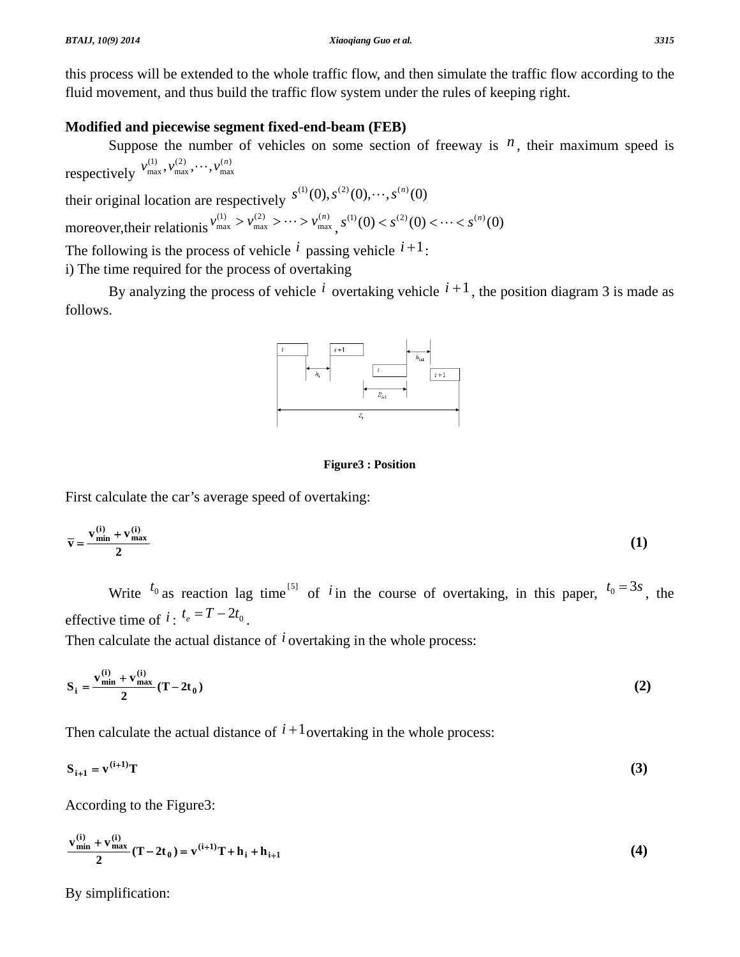this process will be extended to the whole traffic flow, and then simulate the traffic flow according to the fluid movement, and thus build the traffic flow system under the rules of keeping right.

# **Modified and piecewise segment fixed-end-beam (FEB)**

Suppose the number of vehicles on some section of freeway is  $n$ , their maximum speed is respectively  $v_{\text{max}}^{(1)}, v_{\text{max}}^{(2)}, \cdots, v_{\text{max}}^{(n)}$ max (2) max  $v_{\text{max}}^{(1)}, v_{\text{max}}^{(2)}, \cdots, v_{\text{max}}^{(n)}$ 

their original location are respectively  $s^{(1)}(0), s^{(2)}(0), \cdots, s^{(n)}(0)$ moreover, their relationis  $v_{\text{max}}^{(1)} > v_{\text{max}}^{(2)} > \cdots > v_{\text{max}}^{(n)}$ max (2) max (1)  $v_{\text{max}}^{(1)} > v_{\text{max}}^{(2)} > \cdots > v_{\text{max}}^{(n)}, s^{(1)}(0) < s^{(2)}(0) < \cdots < s^{(n)}(0)$ 

The following is the process of vehicle  $i$  passing vehicle  $i+1$ :

i) The time required for the process of overtaking

By analyzing the process of vehicle  $i$  overtaking vehicle  $i+1$ , the position diagram 3 is made as follows.



### **Figure3 : Position**

First calculate the car's average speed of overtaking:

$$
\overline{\mathbf{v}} = \frac{\mathbf{v}_{\min}^{(i)} + \mathbf{v}_{\max}^{(i)}}{2} \tag{1}
$$

Write  $t_0$  as reaction lag time <sup>[5]</sup> of *i* in the course of overtaking, in this paper,  $t_0 = 3s$ , the effective time of  $i : t_e = T - 2t_0$ 

Then calculate the actual distance of <sup>*i*</sup> overtaking in the whole process:

$$
S_i = \frac{v_{\min}^{(i)} + v_{\max}^{(i)}}{2}(T - 2t_0)
$$
 (2)

Then calculate the actual distance of  $i+1$  overtaking in the whole process:

$$
\mathbf{S}_{i+1} = \mathbf{v}^{(i+1)} \mathbf{T} \tag{3}
$$

According to the Figure3:

$$
\frac{v_{\min}^{(i)} + v_{\max}^{(i)}}{2}(T - 2t_0) = v^{(i+1)}T + h_i + h_{i+1}
$$
\n(4)

By simplification: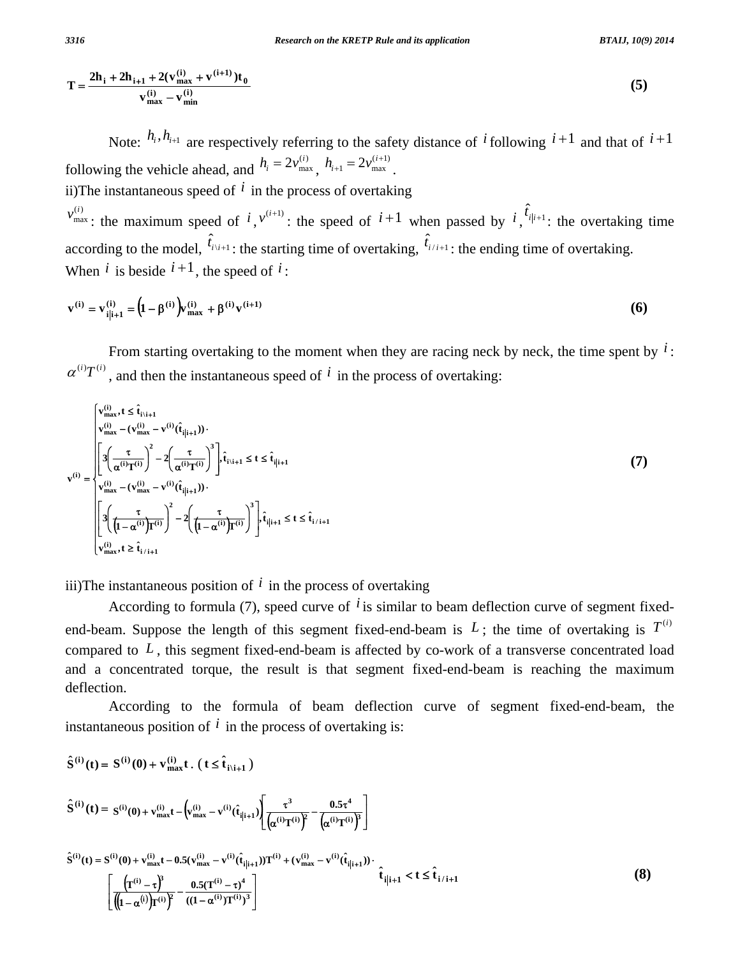$$
T = \frac{2h_i + 2h_{i+1} + 2(v_{max}^{(i)} + v^{(i+1)})t_0}{v_{max}^{(i)} - v_{min}^{(i)}}
$$
(5)

Note:  $h_i, h_{i+1}$  are respectively referring to the safety distance of *i* following  $i+1$  and that of  $i+1$ following the vehicle ahead, and  $h_i = 2v_{\text{max}}^{(i)}$ ,  $h_{i+1} = 2v_{\text{max}}^{(i+1)}$ .

ii)The instantaneous speed of  $i$  in the process of overtaking

 $(i)$ max  $v_{\text{max}}^{(i)}$ : the maximum speed of *i*,  $v^{(i+1)}$ : the speed of *i*+1 when passed by *i*,  $\hat{t}_{i|i+1}$ : the overtaking time according to the model,  $\hat{t}_{i \setminus i+1}$ : the starting time of overtaking,  $\hat{t}_{i \setminus i+1}$ : the ending time of overtaking. When  $i$  is beside  $i+1$ , the speed of  $i$ :

$$
\mathbf{v}^{(i)} = \mathbf{v}_{i|i+1}^{(i)} = (1 - \beta^{(i)}) \mathbf{v}_{max}^{(i)} + \beta^{(i)} \mathbf{v}^{(i+1)}
$$
(6)

 From starting overtaking to the moment when they are racing neck by neck, the time spent by *i* :  $\alpha^{(i)}T^{(i)}$ , and then the instantaneous speed of  $i$  in the process of overtaking:

$$
\mathbf{v}_{\max}^{(i)} \cdot \mathbf{t} \leq \hat{\mathbf{t}}_{i|i+1}
$$
\n
$$
\mathbf{v}_{\max}^{(i)} - (\mathbf{v}_{\max}^{(i)} - \mathbf{v}^{(i)}(\hat{\mathbf{t}}_{i|i+1})).
$$
\n
$$
\mathbf{v}^{(i)} = \begin{cases}\n\frac{\tau}{3} \left( \frac{\tau}{\alpha^{(i)} T^{(i)}} \right)^2 - 2 \left( \frac{\tau}{\alpha^{(i)} T^{(i)}} \right)^3 \cdot \hat{\mathbf{t}}_{i|i+1} \leq t \leq \hat{\mathbf{t}}_{i|i+1} \\
\mathbf{v}_{\max}^{(i)} - (\mathbf{v}_{\max}^{(i)} - \mathbf{v}^{(i)}(\hat{\mathbf{t}}_{i|i+1})).\n\end{cases}
$$
\n
$$
\begin{bmatrix}\n3 \left( \frac{\tau}{(1 - \alpha^{(i)}) T^{(i)}} \right)^2 - 2 \left( \frac{\tau}{(1 - \alpha^{(i)}) T^{(i)}} \right)^3 \cdot \hat{\mathbf{t}}_{i|i+1} \leq t \leq \hat{\mathbf{t}}_{i \neq i+1} \\
\mathbf{v}_{\max}^{(i)}, t \geq \hat{\mathbf{t}}_{i \neq i+1}\n\end{bmatrix}
$$
\n(7)

iii)The instantaneous position of  $\hat{i}$  in the process of overtaking

According to formula (7), speed curve of *i* is similar to beam deflection curve of segment fixedend-beam. Suppose the length of this segment fixed-end-beam is  $L$ ; the time of overtaking is  $T^{(i)}$ compared to  $L$ , this segment fixed-end-beam is affected by co-work of a transverse concentrated load and a concentrated torque, the result is that segment fixed-end-beam is reaching the maximum deflection.

According to the formula of beam deflection curve of segment fixed-end-beam, the instantaneous position of  $\hat{i}$  in the process of overtaking is:

$$
\hat{S}^{(i)}(t) = S^{(i)}(0) + v_{max}^{(i)}t \cdot (t \le \hat{t}_{i|i+1})
$$
\n
$$
\hat{S}^{(i)}(t) = S^{(i)}(0) + v_{max}^{(i)}t - \left(v_{max}^{(i)} - v^{(i)}(\hat{t}_{i|i+1})\right)\left[\frac{\tau^3}{\left(\alpha^{(i)}T^{(i)}\right)^2} - \frac{0.5\tau^4}{\left(\alpha^{(i)}T^{(i)}\right)^3}\right]
$$
\n
$$
\hat{S}^{(i)}(t) = S^{(i)}(0) + v_{max}^{(i)}t - 0.5(v_{max}^{(i)} - v^{(i)}(\hat{t}_{i|i+1}))T^{(i)} + (v_{max}^{(i)} - v^{(i)}(\hat{t}_{i|i+1})) \cdot \left(\frac{\tau^3}{\left(\left(1 - \alpha^{(i)}\right)T^{(i)}\right)^2} - \frac{0.5(T^{(i)} - \tau)^4}{((1 - \alpha^{(i)})T^{(i)})^3}\right)
$$
\n(8)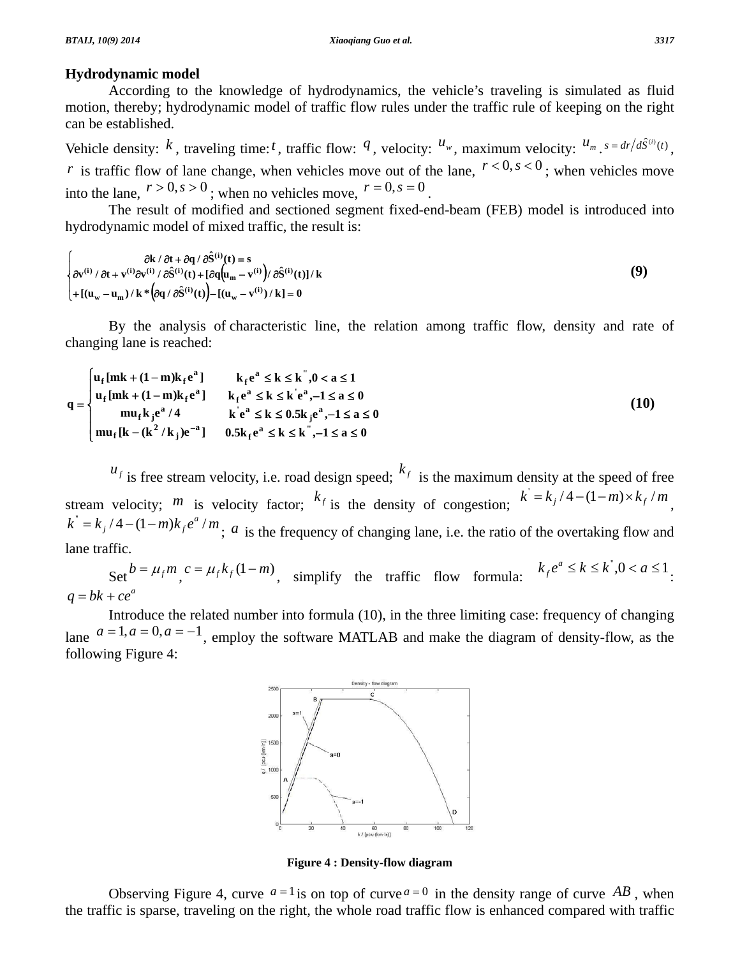# **Hydrodynamic model**

 According to the knowledge of hydrodynamics, the vehicle's traveling is simulated as fluid motion, thereby; hydrodynamic model of traffic flow rules under the traffic rule of keeping on the right can be established.

Vehicle density:  $k$ , traveling time:  $t$ , traffic flow:  $q$ , velocity:  $u_w$ , maximum velocity:  $u_{w}$ ,  $s = dr/d\hat{S}^{(i)}(t)$ , *r* is traffic flow of lane change, when vehicles move out of the lane,  $r < 0$ ,  $s < 0$ ; when vehicles move into the lane,  $r > 0$ ,  $s > 0$ ; when no vehicles move,  $r = 0$ ,  $s = 0$ .

 The result of modified and sectioned segment fixed-end-beam (FEB) model is introduced into hydrodynamic model of mixed traffic, the result is:

$$
\begin{cases}\n\frac{\partial \mathbf{k} \cdot \partial \mathbf{t} + \partial q \cdot \partial \hat{\mathbf{S}}^{(i)}(\mathbf{t}) = \mathbf{s}}{\partial \mathbf{v}^{(i)} \cdot \partial \mathbf{t} + \mathbf{v}^{(i)} \partial \mathbf{v}^{(i)} \cdot \partial \hat{\mathbf{S}}^{(i)}(\mathbf{t}) + [\partial q(\mathbf{u}_m - \mathbf{v}^{(i)}) / \partial \hat{\mathbf{S}}^{(i)}(\mathbf{t})] / \mathbf{k}} \\
+ [(\mathbf{u}_w - \mathbf{u}_m) / \mathbf{k} * (\partial q / \partial \hat{\mathbf{S}}^{(i)}(\mathbf{t})) - [(\mathbf{u}_w - \mathbf{v}^{(i)}) / \mathbf{k}] = 0\n\end{cases}
$$
\n(9)

 By the analysis of characteristic line, the relation among traffic flow, density and rate of changing lane is reached:

$$
q = \begin{cases} u_f[mk + (1-m)k_f e^a] & k_f e^a \le k \le k^*, 0 < a \le 1 \\ u_f[mk + (1-m)k_f e^a] & k_f e^a \le k \le k^* e^a, -1 \le a \le 0 \\ mu_f k_j e^a / 4 & k^* e^a \le k \le 0.5k_j e^a, -1 \le a \le 0 \\ mu_f [k - (k^2 / k_j) e^{-a}] & 0.5k_f e^a \le k \le k^*, -1 \le a \le 0 \end{cases}
$$
(10)

 $u_f$  is free stream velocity, i.e. road design speed;  $k_f$  is the maximum density at the speed of free stream velocity; *m* is velocity factor;  $k_f$  is the density of congestion;  $k' = k_f/4 - (1 - m) \times k_f/m$ ,  $k^{\dagger} = k_j/4 - (1-m)k_f e^{a}/m$ ; *a* is the frequency of changing lane, i.e. the ratio of the overtaking flow and lane traffic.

Set<sup> $b = \mu_f m$ </sup>,  $c = \mu_f k_f (1 - m)$ , simplify the traffic flow formula:  $k_f e^a \le k \le k^{\dagger}, 0 < a \le 1$ .  $a = bk + ce^a$ 

 Introduce the related number into formula (10), in the three limiting case: frequency of changing lane  $a = 1$ ,  $a = 0$ ,  $a = -1$ , employ the software MATLAB and make the diagram of density-flow, as the following Figure 4:



**Figure 4 : Density-flow diagram** 

Observing Figure 4, curve  $a = 1$  is on top of curve  $a = 0$  in the density range of curve AB, when the traffic is sparse, traveling on the right, the whole road traffic flow is enhanced compared with traffic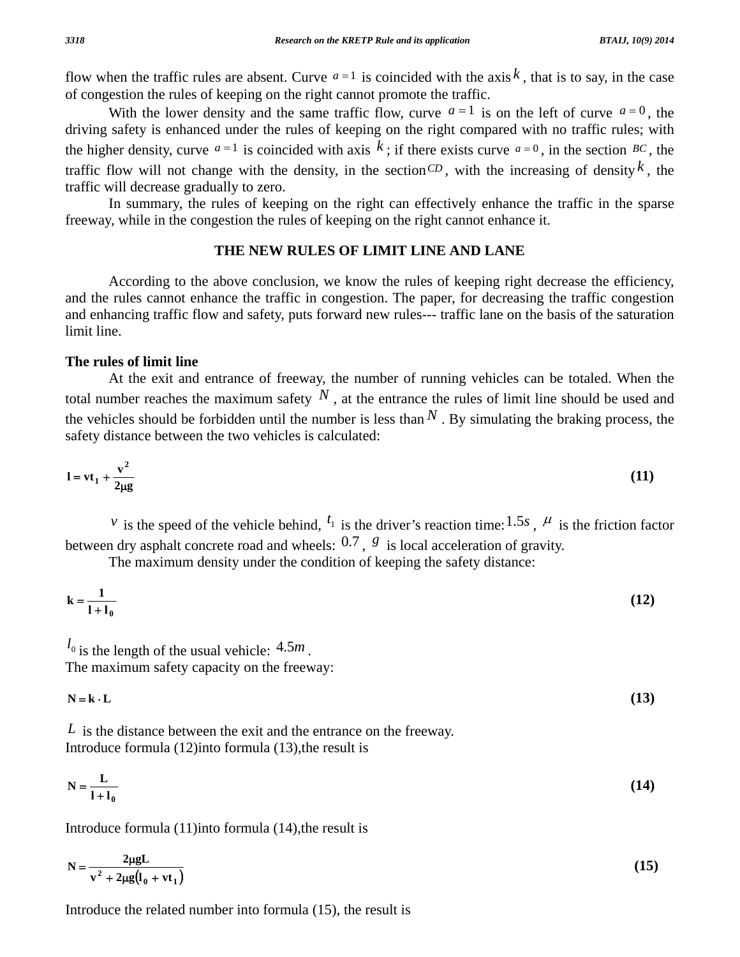flow when the traffic rules are absent. Curve  $a=1$  is coincided with the axis  $k$ , that is to say, in the case of congestion the rules of keeping on the right cannot promote the traffic.

With the lower density and the same traffic flow, curve  $a = 1$  is on the left of curve  $a = 0$ , the driving safety is enhanced under the rules of keeping on the right compared with no traffic rules; with the higher density, curve  $a=1$  is coincided with axis  $k$ ; if there exists curve  $a=0$ , in the section  $BC$ , the traffic flow will not change with the density, in the section<sup>*CD*</sup>, with the increasing of density  $k$ , the traffic will decrease gradually to zero.

 In summary, the rules of keeping on the right can effectively enhance the traffic in the sparse freeway, while in the congestion the rules of keeping on the right cannot enhance it.

## **THE NEW RULES OF LIMIT LINE AND LANE**

 According to the above conclusion, we know the rules of keeping right decrease the efficiency, and the rules cannot enhance the traffic in congestion. The paper, for decreasing the traffic congestion and enhancing traffic flow and safety, puts forward new rules--- traffic lane on the basis of the saturation limit line.

#### **The rules of limit line**

 At the exit and entrance of freeway, the number of running vehicles can be totaled. When the total number reaches the maximum safety  $N$ , at the entrance the rules of limit line should be used and the vehicles should be forbidden until the number is less than  $N$ . By simulating the braking process, the safety distance between the two vehicles is calculated:

$$
l = vt_1 + \frac{v^2}{2\mu g} \tag{11}
$$

*v* is the speed of the vehicle behind,  $^{t_1}$  is the driver's reaction time:  $1.5s$ ,  $\mu$  is the friction factor between dry asphalt concrete road and wheels:  $0.7$ ,  $\ell$  is local acceleration of gravity.

The maximum density under the condition of keeping the safety distance:

$$
k = \frac{1}{1 + l_0} \tag{12}
$$

 $l_0$  is the length of the usual vehicle:  $4.5m$ . The maximum safety capacity on the freeway:

$$
N = k \cdot L \tag{13}
$$

*L* is the distance between the exit and the entrance on the freeway. Introduce formula (12)into formula (13),the result is

$$
N = \frac{L}{1 + l_0} \tag{14}
$$

Introduce formula (11)into formula (14),the result is

$$
N = \frac{2\mu g L}{v^2 + 2\mu g (l_0 + vt_1)}
$$
(15)

Introduce the related number into formula (15), the result is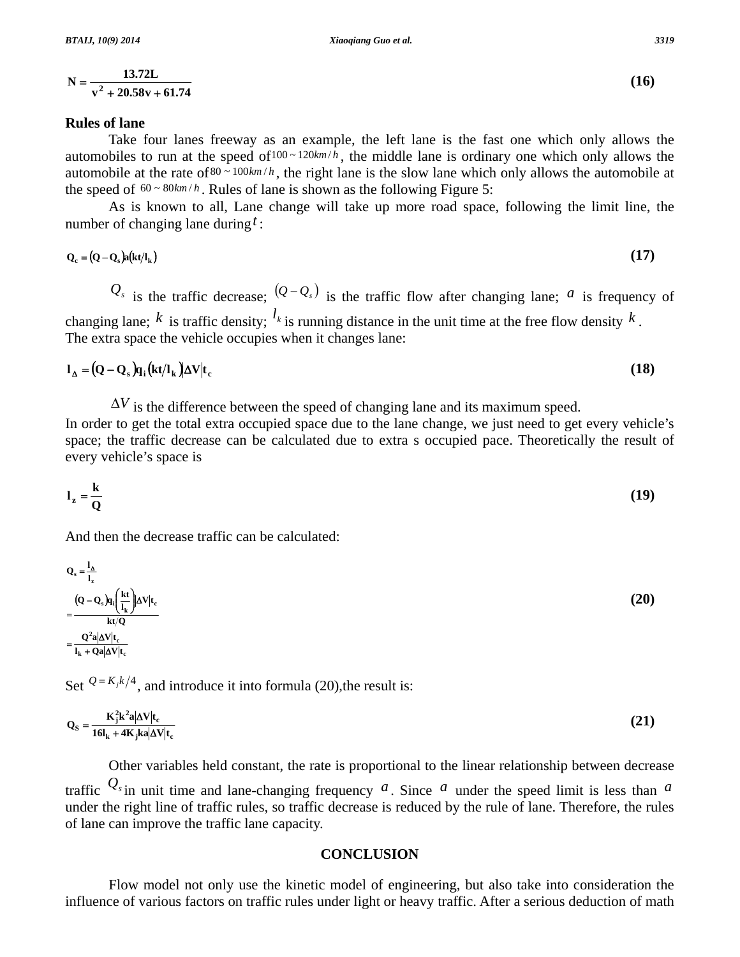#### **Rules of lane**

 Take four lanes freeway as an example, the left lane is the fast one which only allows the automobiles to run at the speed of  $100 \times 120$ *km*/*h*, the middle lane is ordinary one which only allows the automobile at the rate of  $80 \sim 100$ *km* / *h*, the right lane is the slow lane which only allows the automobile at the speed of  $60 \sim 80$ *km*/*h*. Rules of lane is shown as the following Figure 5:

As is known to all, Lane change will take up more road space, following the limit line, the number of changing lane during*t* :

$$
Q_c = (Q - Q_s)a(kt/l_k)
$$
 (17)

 $Q_s$  is the traffic decrease;  $(Q - Q_s)$  is the traffic flow after changing lane; *a* is frequency of changing lane;  $k$  is traffic density;  $l_k$  is running distance in the unit time at the free flow density  $k$ . The extra space the vehicle occupies when it changes lane:

$$
I_{\Delta} = (Q - Q_s)q_i (kt/l_k) \Delta V |t_c
$$
\n(18)

 $\Delta V$  is the difference between the speed of changing lane and its maximum speed. In order to get the total extra occupied space due to the lane change, we just need to get every vehicle's space; the traffic decrease can be calculated due to extra s occupied pace. Theoretically the result of every vehicle's space is

$$
l_z = \frac{k}{Q} \tag{19}
$$

And then the decrease traffic can be calculated:

$$
Q_s = \frac{l_{\Delta}}{l_z}
$$
  
= 
$$
\frac{(Q - Q_s)q_i \left(\frac{kt}{l_k}\right) \Delta V|t_c}{kt/Q}
$$
  
= 
$$
\frac{Q^2a|\Delta V|t_c}{l_k + Qa|\Delta V|t_c}
$$
 (20)

Set  $Q = K<sub>j</sub>k/4$ , and introduce it into formula (20), the result is:

$$
Q_{s} = \frac{K_{j}^{2}k^{2}a|\Delta V|t_{c}}{16I_{k} + 4K_{j}ka|\Delta V|t_{c}}
$$
(21)

Other variables held constant, the rate is proportional to the linear relationship between decrease traffic  $Q_s$  in unit time and lane-changing frequency *a*. Since *a* under the speed limit is less than *a* under the right line of traffic rules, so traffic decrease is reduced by the rule of lane. Therefore, the rules of lane can improve the traffic lane capacity.

## **CONCLUSION**

 Flow model not only use the kinetic model of engineering, but also take into consideration the influence of various factors on traffic rules under light or heavy traffic. After a serious deduction of math